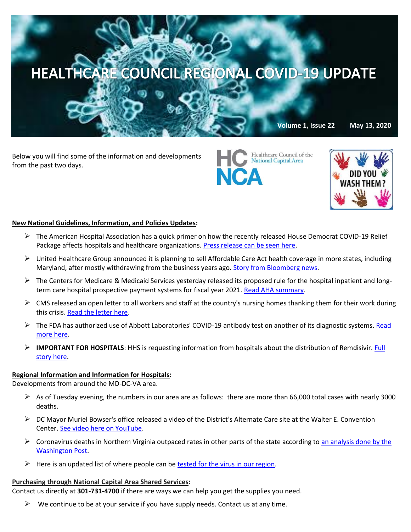

Below you will find some of the information and developments from the past two days.



Healthcare Council of the **National Capital Area** 

**JCA** 

# **New National Guidelines, Information, and Policies Updates:**

- $\triangleright$  The American Hospital Association has a quick primer on how the recently released House Democrat COVID-19 Relief Package affects hospitals and healthcare organizations. [Press release can be seen here.](https://www.aha.org/special-bulletin/2020-05-12-special-bulletin-house-democrats-unveil-3-trillion-covid-19-relief?utm_source=newsletter&utm_medium=email&utm_content=05122020-sb-P3-plus&utm_campaign=aha-special-bulletin)
- $\triangleright$  United Healthcare Group announced it is planning to sell Affordable Care Act health coverage in more states, including Maryland, after mostly withdrawing from the business years ago[. Story from Bloomberg news.](https://www.bloomberg.com/news/articles/2020-05-12/unitedhealth-group-plans-return-to-obamacare-markets-in-2021?mkt_tok=eyJpIjoiWlRabE9EYzJPVGRtTlRVMCIsInQiOiJLRVdpdGVLWVNxYUs0WU9PbVwvYTIxN3ZTV3F3cXJhM3p3RTdEZ0x1YjRLM1JyRDFtT1Rtb1ptZmxNYnh6ZHNIcVJUeWVoWDFnRjNQZ2Z3UFA4bUI5bkZjb3hjRE1JZU1SK2xGRlRackM1RkNUSHpuM05tcTFNc2JIUWtDRzZSS2kifQ==)
- $\triangleright$  The Centers for Medicare & Medicaid Services yesterday released its proposed rule for the hospital inpatient and longterm care hospital prospective payment systems for fiscal year 2021[. Read AHA summary.](https://contentsharing.net/actions/email_web_version.cfm?ep=Bdhtp-zVuqFkgQiV6-lxty0f-nrLBJWzuTngPvD-5dWPFBAE1A9ToKOeO_bHKF6ZjS2AeNv8hNmhxgN5NF8bxQ2YFy-FKOT-LzbE4pFDljH-_fLM-mTttxX06cSG-gTm)
- $\triangleright$  CMS released an open letter to all workers and staff at the country's nursing homes thanking them for their work during this crisis. [Read the letter here.](https://www.cms.gov/files/document/covid-nursing-home-worker-letter.pdf)
- $\triangleright$  The FDA has authorized use of Abbott Laboratories' COVID-19 antibody test on another of its diagnostic systems. Read [more here.](https://www.reuters.com/article/us-health-coronavirus-abbott/fda-authorizes-use-of-abbotts-covid-19-antibody-test-on-second-system-idUSKBN22N2II?mkt_tok=eyJpIjoiT1RsaE5tRmhPR1UyWXpNNSIsInQiOiJqMjdLaVhRdFFSMklRODhXZUxuZDNVOUhCaXNLWG5OSTBGSzRFbUtZdkZwUnZcL3BnNGJMWDlpbEFaZ0hPdUFVYjM4ZDFpMEZrak43elV1RE43WFA0amw2U3JKeERGVE95dmRiRm9CMlVyMVRxR2dNWU12aklCOTFMbFF6ZnZVazMifQ==)
- **IMPORTANT FOR HOSPITALS**: HHS is requesting information from hospitals about the distribution of Remdisivir. [Full](https://contentsharing.net/actions/email_web_version.cfm?ep=Bdhtp-zVuqFkgQiV6-lxty0f-nrLBJWzuTngPvD-5dW2McRitISmD0gCLrFR-z2CChwrHMtoVA2CXnimPFxqkiWr0qPNYEbQk_3A6GmsxYLjrnzJBjeN0_EIuuJokbBM)  [story here.](https://contentsharing.net/actions/email_web_version.cfm?ep=Bdhtp-zVuqFkgQiV6-lxty0f-nrLBJWzuTngPvD-5dW2McRitISmD0gCLrFR-z2CChwrHMtoVA2CXnimPFxqkiWr0qPNYEbQk_3A6GmsxYLjrnzJBjeN0_EIuuJokbBM)

## **Regional Information and Information for Hospitals:**

Developments from around the MD-DC-VA area.

- $\triangleright$  As of Tuesday evening, the numbers in our area are as follows: there are more than 66,000 total cases with nearly 3000 deaths.
- $\triangleright$  DC Mayor Muriel Bowser's office released a video of the District's Alternate Care site at the Walter E. Convention Center[. See video here on YouTube.](https://www.youtube.com/watch?v=wiIC7uIJYRs)
- $\triangleright$  Coronavirus deaths in Northern Virginia outpaced rates in other parts of the state according to an analysis done by the [Washington Post.](https://www.washingtonpost.com/local/northern-va-deaths-are-nearly-double-elsewhere-in-state-as-region-sees-disproportionate-toll/2020/05/12/2030c8a6-948d-11ea-91d7-cf4423d47683_story.html)
- $\triangleright$  Here is an updated list of where people can be [tested for the virus in our region.](https://www.washingtonpost.com/local/getting-tested-for-coronavirus-in-virginia-maryland-dc/2020/03/26/5e19f608-6de9-11ea-a3ec-70d7479d83f0_story.html)

## **Purchasing through National Capital Area Shared Services:**

Contact us directly at **301-731-4700** if there are ways we can help you get the supplies you need.

 $\triangleright$  We continue to be at your service if you have supply needs. Contact us at any time.